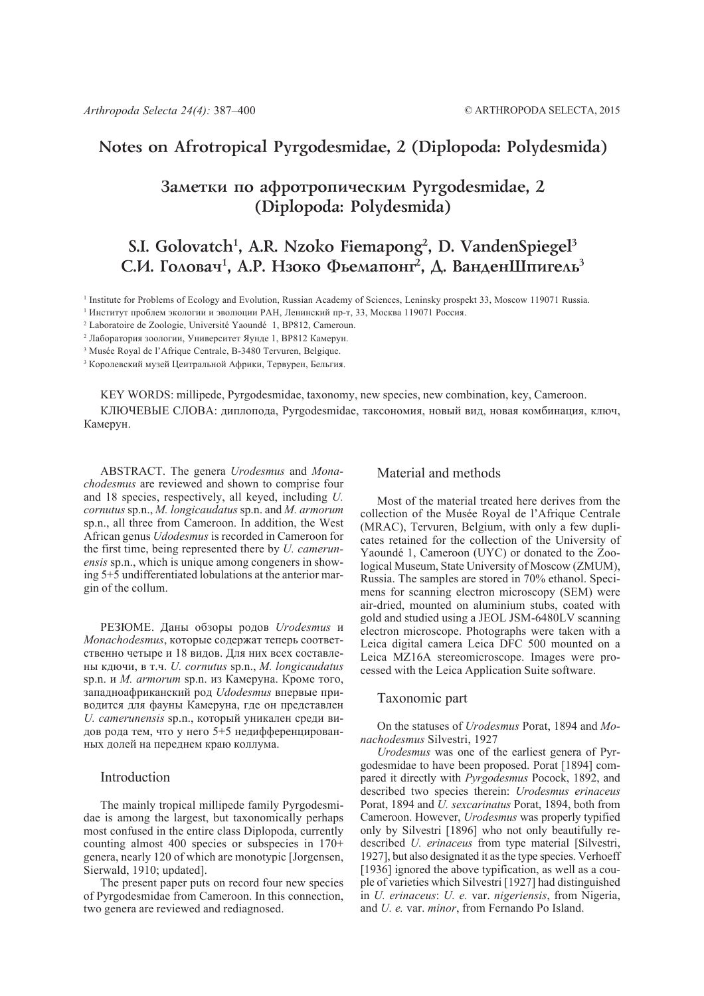# **Notes on Afrotropical Pyrgodesmidae, 2 (Diplopoda: Polydesmida)**

# Заметки по афротропическим Pyrgodesmidae, 2 **(Diplopoda: Polydesmida)**

# **S.I. Golovatch1 , A.R. Nzoko Fiemapong2 , D. VandenSpiegel3** С.И. Головач<sup>1</sup>, А.Р. Нзоко Фьемапонг<sup>2</sup>, Д. ВанденШпигель<sup>3</sup>

<sup>1</sup> Institute for Problems of Ecology and Evolution, Russian Academy of Sciences, Leninsky prospekt 33, Moscow 119071 Russia.

<sup>2</sup> Лаборатория зоологии, Университет Яунде 1, BP812 Камерун.

3 Musée Royal de l'Afrique Centrale, B-3480 Tervuren, Belgique.

<sup>3</sup> Королевский музей Цеитральной Африки, Тервурен, Бельгия.

KEY WORDS: millipede, Pyrgodesmidae, taxonomy, new species, new combination, key, Cameroon.

КЛЮЧЕВЫЕ СЛОВА: диплопода, Pyrgodesmidae, таксономия, новый вид, новая комбинация, ключ, Камерун.

ABSTRACT. The genera *Urodesmus* and *Monachodesmus* are reviewed and shown to comprise four and 18 species, respectively, all keyed, including *U. cornutus* sp.n., *M. longicaudatus* sp.n. and *M. armorum* sp.n., all three from Cameroon. In addition, the West African genus *Udodesmus* is recorded in Cameroon for the first time, being represented there by *U. camerunensis* sp.n., which is unique among congeners in showing 5+5 undifferentiated lobulations at the anterior margin of the collum.

РЕЗЮМЕ. Даны обзоры родов *Urodesmus* и *Monachodesmus*, которые содержат теперь соответственно четыре и 18 видов. Для них всех составлены кдючи, в т.ч. *U. cornutus* sp.n., *M. longicaudatus* sp.n. и *M. armorum* sp.n. из Камеруна. Кроме того, западноафриканский род *Udodesmus* впервые приводится для фауны Камеруна, где он представлен *U. camerunensis* sp.n., который уникален среди видов рода тем, что у него 5+5 недифференцированных долей на переднем краю коллума.

#### Introduction

The mainly tropical millipede family Pyrgodesmidae is among the largest, but taxonomically perhaps most confused in the entire class Diplopoda, currently counting almost 400 species or subspecies in 170+ genera, nearly 120 of which are monotypic [Jorgensen, Sierwald, 1910; updated].

The present paper puts on record four new species of Pyrgodesmidae from Cameroon. In this connection, two genera are reviewed and rediagnosed.

## Material and methods

Most of the material treated here derives from the collection of the Musée Royal de l'Afrique Centrale (MRAC), Tervuren, Belgium, with only a few duplicates retained for the collection of the University of Yaoundé 1, Cameroon (UYC) or donated to the Zoological Museum, State University of Moscow (ZMUM), Russia. The samples are stored in 70% ethanol. Specimens for scanning electron microscopy (SEM) were air-dried, mounted on aluminium stubs, coated with gold and studied using a JEOL JSM-6480LV scanning electron microscope. Photographs were taken with a Leica digital camera Leica DFC 500 mounted on a Leica MZ16A stereomicroscope. Images were processed with the Leica Application Suite software.

## Taxonomic part

On the statuses of *Urodesmus* Porat, 1894 and *Monachodesmus* Silvestri, 1927

*Urodesmus* was one of the earliest genera of Pyrgodesmidae to have been proposed. Porat [1894] compared it directly with *Pyrgodesmus* Pocock, 1892, and described two species therein: *Urodesmus erinaceus* Porat, 1894 and *U. sexcarinatus* Porat, 1894, both from Cameroon. However, *Urodesmus* was properly typified only by Silvestri [1896] who not only beautifully redescribed *U. erinaceus* from type material [Silvestri, 1927], but also designated it as the type species. Verhoeff [1936] ignored the above typification, as well as a couple of varieties which Silvestri [1927] had distinguished in *U. erinaceus*: *U. e.* var. *nigeriensis*, from Nigeria, and *U. e.* var. *minor*, from Fernando Po Island.

<sup>1</sup> Институт проблем экологии и эволюции РАН, Ленинский пр-т, 33, Москва 119071 Россия.

<sup>2</sup> Laboratoire de Zoologie, Université Yaoundé 1, BP812, Cameroun.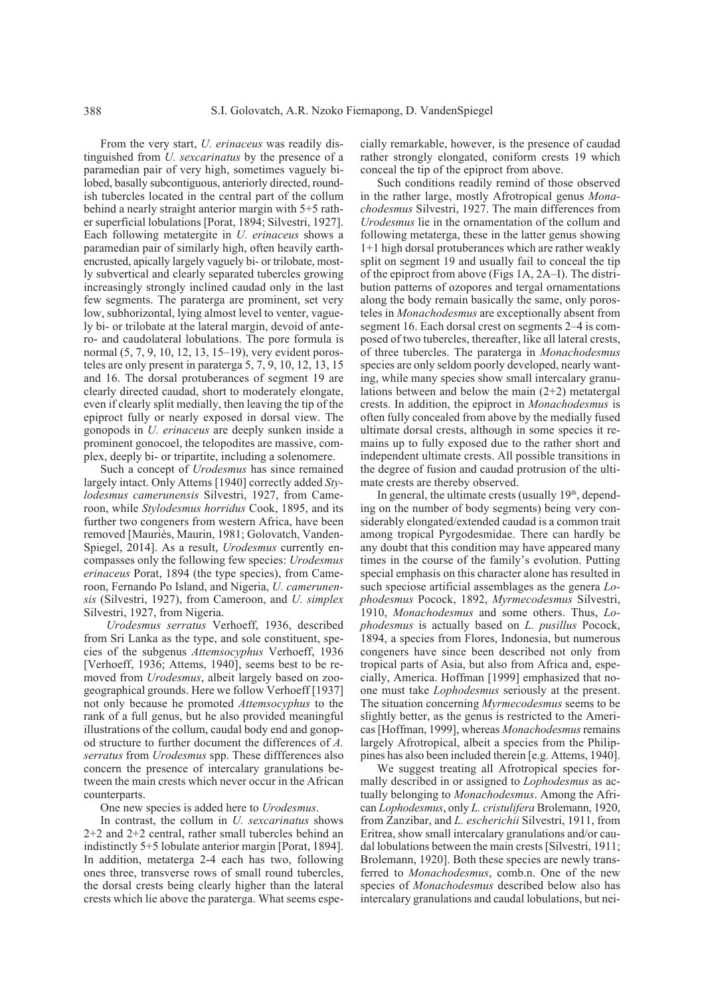From the very start, *U. erinaceus* was readily distinguished from *U. sexcarinatus* by the presence of a paramedian pair of very high, sometimes vaguely bilobed, basally subcontiguous, anteriorly directed, roundish tubercles located in the central part of the collum behind a nearly straight anterior margin with 5+5 rather superficial lobulations [Porat, 1894; Silvestri, 1927]. Each following metatergite in *U. erinaceus* shows a paramedian pair of similarly high, often heavily earthencrusted, apically largely vaguely bi- or trilobate, mostly subvertical and clearly separated tubercles growing increasingly strongly inclined caudad only in the last few segments. The paraterga are prominent, set very low, subhorizontal, lying almost level to venter, vaguely bi- or trilobate at the lateral margin, devoid of antero- and caudolateral lobulations. The pore formula is normal (5, 7, 9, 10, 12, 13, 15–19), very evident porosteles are only present in paraterga 5, 7, 9, 10, 12, 13, 15 and 16. The dorsal protuberances of segment 19 are clearly directed caudad, short to moderately elongate, even if clearly split medially, then leaving the tip of the epiproct fully or nearly exposed in dorsal view. The gonopods in *U. erinaceus* are deeply sunken inside a prominent gonocoel, the telopodites are massive, complex, deeply bi- or tripartite, including a solenomere.

Such a concept of *Urodesmus* has since remained largely intact. Only Attems [1940] correctly added *Stylodesmus camerunensis* Silvestri, 1927, from Cameroon, while *Stylodesmus horridus* Cook, 1895, and its further two congeners from western Africa, have been removed [Mauriès, Maurin, 1981; Golovatch, Vanden-Spiegel, 2014]. As a result, *Urodesmus* currently encompasses only the following few species: *Urodesmus erinaceus* Porat, 1894 (the type species), from Cameroon, Fernando Po Island, and Nigeria, *U. camerunensis* (Silvestri, 1927), from Cameroon, and *U. simplex* Silvestri, 1927, from Nigeria.

*Urodesmus serratus* Verhoeff, 1936, described from Sri Lanka as the type, and sole constituent, species of the subgenus *Attemsocyphus* Verhoeff, 1936 [Verhoeff, 1936; Attems, 1940], seems best to be removed from *Urodesmus*, albeit largely based on zoogeographical grounds. Here we follow Verhoeff [1937] not only because he promoted *Attemsocyphus* to the rank of a full genus, but he also provided meaningful illustrations of the collum, caudal body end and gonopod structure to further document the differences of *A. serratus* from *Urodesmus* spp. These diffferences also concern the presence of intercalary granulations between the main crests which never occur in the African counterparts.

One new species is added here to *Urodesmus*.

In contrast, the collum in *U. sexcarinatus* shows 2+2 and 2+2 central, rather small tubercles behind an indistinctly 5+5 lobulate anterior margin [Porat, 1894]. In addition, metaterga 2-4 each has two, following ones three, transverse rows of small round tubercles, the dorsal crests being clearly higher than the lateral crests which lie above the paraterga. What seems especially remarkable, however, is the presence of caudad rather strongly elongated, coniform crests 19 which conceal the tip of the epiproct from above.

Such conditions readily remind of those observed in the rather large, mostly Afrotropical genus *Monachodesmus* Silvestri, 1927. The main differences from *Urodesmus* lie in the ornamentation of the collum and following metaterga, these in the latter genus showing 1+1 high dorsal protuberances which are rather weakly split on segment 19 and usually fail to conceal the tip of the epiproct from above (Figs 1A, 2A–I). The distribution patterns of ozopores and tergal ornamentations along the body remain basically the same, only porosteles in *Monachodesmus* are exceptionally absent from segment 16. Each dorsal crest on segments 2–4 is composed of two tubercles, thereafter, like all lateral crests, of three tubercles. The paraterga in *Monachodesmus* species are only seldom poorly developed, nearly wanting, while many species show small intercalary granulations between and below the main (2+2) metatergal crests. In addition, the epiproct in *Monachodesmus* is often fully concealed from above by the medially fused ultimate dorsal crests, although in some species it remains up to fully exposed due to the rather short and independent ultimate crests. All possible transitions in the degree of fusion and caudad protrusion of the ultimate crests are thereby observed.

In general, the ultimate crests (usually  $19<sup>th</sup>$ , depending on the number of body segments) being very considerably elongated/extended caudad is a common trait among tropical Pyrgodesmidae. There can hardly be any doubt that this condition may have appeared many times in the course of the family's evolution. Putting special emphasis on this character alone has resulted in such speciose artificial assemblages as the genera *Lophodesmus* Pocock, 1892, *Myrmecodesmus* Silvestri, 1910, *Monachodesmus* and some others. Thus, *Lophodesmus* is actually based on *L. pusillus* Pocock, 1894, a species from Flores, Indonesia, but numerous congeners have since been described not only from tropical parts of Asia, but also from Africa and, especially, America. Hoffman [1999] emphasized that noone must take *Lophodesmus* seriously at the present. The situation concerning *Myrmecodesmus* seems to be slightly better, as the genus is restricted to the Americas [Hoffman, 1999], whereas *Monachodesmus* remains largely Afrotropical, albeit a species from the Philippines has also been included therein [e.g. Attems, 1940].

We suggest treating all Afrotropical species formally described in or assigned to *Lophodesmus* as actually belonging to *Monachodesmus*. Among the African *Lophodesmus*, only *L. cristulifera* Brolemann, 1920, from Zanzibar, and *L. escherichii* Silvestri, 1911, from Eritrea, show small intercalary granulations and/or caudal lobulations between the main crests [Silvestri, 1911; Brolemann, 1920]. Both these species are newly transferred to *Monachodesmus*, comb.n. One of the new species of *Monachodesmus* described below also has intercalary granulations and caudal lobulations, but nei-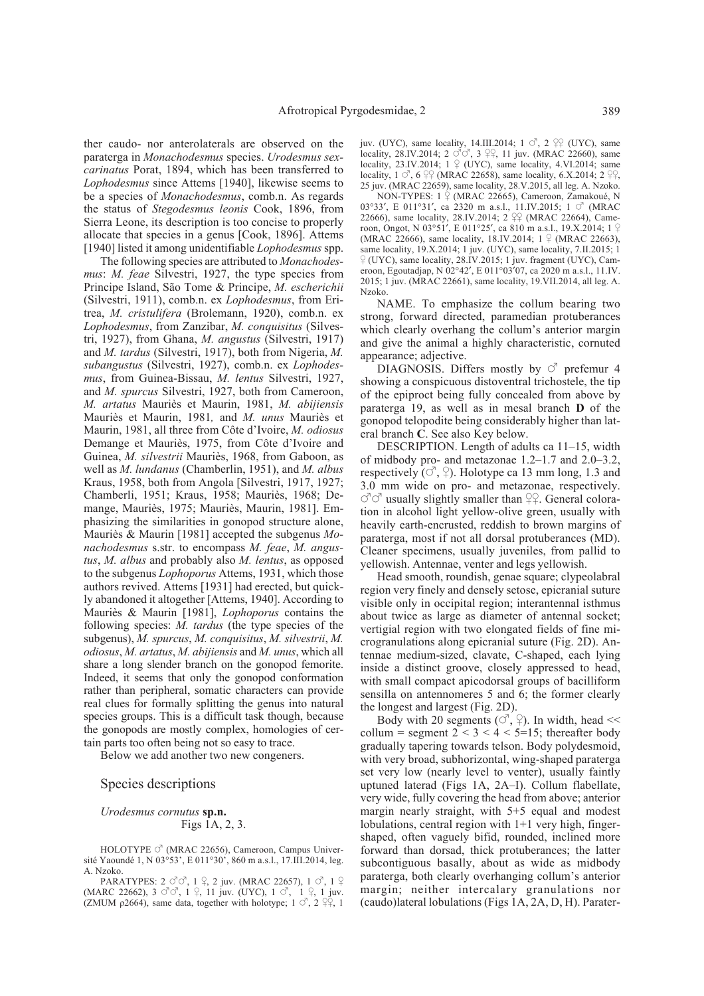ther caudo- nor anterolaterals are observed on the paraterga in *Monachodesmus* species. *Urodesmus sexcarinatus* Porat, 1894, which has been transferred to *Lophodesmus* since Attems [1940], likewise seems to be a species of *Monachodesmus*, comb.n. As regards the status of *Stegodesmus leonis* Cook, 1896, from Sierra Leone, its description is too concise to properly allocate that species in a genus [Cook, 1896]. Attems [1940] listed it among unidentifiable *Lophodesmus* spp.

The following species are attributed to *Monachodesmus*: *M. feae* Silvestri, 1927, the type species from Principe Island, São Tome & Principe, *M. escherichii* (Silvestri, 1911), comb.n. ex *Lophodesmus*, from Eritrea, *M. cristulifera* (Brolemann, 1920), comb.n. ex *Lophodesmus*, from Zanzibar, *M. conquisitus* (Silvestri, 1927), from Ghana, *M. angustus* (Silvestri, 1917) and *M. tardus* (Silvestri, 1917), both from Nigeria, *M. subangustus* (Silvestri, 1927), comb.n. ex *Lophodesmus*, from Guinea-Bissau, *M. lentus* Silvestri, 1927, and *M. spurcus* Silvestri, 1927, both from Cameroon, *M. artatus* Mauriès et Maurin, 1981, *M. abijiensis* Mauriès et Maurin, 1981*,* and *M. unus* Mauriès et Maurin, 1981, all three from Côte d'Ivoire, *M. odiosus* Demange et Mauriès, 1975, from Côte d'Ivoire and Guinea, *M. silvestrii* Mauriès, 1968, from Gaboon, as well as *M. lundanus* (Chamberlin, 1951), and *M. albus* Kraus, 1958, both from Angola [Silvestri, 1917, 1927; Chamberli, 1951; Kraus, 1958; Mauriès, 1968; Demange, Mauriès, 1975; Mauriès, Maurin, 1981]. Emphasizing the similarities in gonopod structure alone, Mauriès & Maurin [1981] accepted the subgenus *Monachodesmus* s.str. to encompass *M. feae*, *M. angustus*, *M. albus* and probably also *M. lentus*, as opposed to the subgenus *Lophoporus* Attems, 1931, which those authors revived. Attems [1931] had erected, but quickly abandoned it altogether [Attems, 1940]. According to Mauriès & Maurin [1981], *Lophoporus* contains the following species: *M. tardus* (the type species of the subgenus), *M. spurcus*, *M. conquisitus*, *M. silvestrii*, *M. odiosus*, *M. artatus*, *M. abijiensis* and *M. unus*, which all share a long slender branch on the gonopod femorite. Indeed, it seems that only the gonopod conformation rather than peripheral, somatic characters can provide real clues for formally splitting the genus into natural species groups. This is a difficult task though, because the gonopods are mostly complex, homologies of certain parts too often being not so easy to trace.

Below we add another two new congeners.

#### Species descriptions

*Urodesmus cornutus* **sp.n.** Figs 1A, 2, 3.

HOLOTYPE  $\circ$  (MRAC 22656), Cameroon, Campus Université Yaoundé 1, N 03°53', E 011°30', 860 m a.s.l., 17.III.2014, leg. A. Nzoko.

PARATYPES:  $2 \circ \circ \circ$ ,  $1 \circ 2$  juv. (MRAC 22657),  $1 \circ \circ$ ,  $1 \circ$ (MARC 22662),  $3 \circ \circ \circ$ ,  $1 \circ 1$ ,  $11$  juv. (UYC),  $1 \circ \circ$ ,  $1 \circ 1$ ,  $1$  juv. (ZMUM  $p2664$ ), same data, together with holotype; 1  $\circ$ , 2  $22$ , 1

juv. (UYC), same locality, 14.III.2014; 1  $\circ$ , 2  $\circ$  (UYC), same locality, 28.IV.2014; 2  $\circlearrowleft \circlearrowleft$ , 3  $\circ \circlearrowright$ , 11 juv. (MRAC 22660), same locality, 23.IV.2014;  $1 \nsubseteq$  (UYC), same locality, 4.VI.2014; same locality,  $1 \circ$ ,  $6 \circ$ ,  $\circ$  (MRAC 22658), same locality, 6.X.2014; 2  $\circ$ 25 juv. (MRAC 22659), same locality, 28.V.2015, all leg. A. Nzoko.

NON-TYPES: 1  $\circ$  (MRAC 22665), Cameroon, Zamakoué, N 03°33′, E 011°31′, ca 2320 m a.s.l., 11.IV.2015; 1 ♂ (MRAC 22666), same locality, 28.IV.2014; 2  $29$  (MRAC 22664), Cameroon, Ongot, N 03°51', E 011°25', ca 810 m a.s.l., 19.X.2014; 1  $\varphi$ (MRAC 22666), same locality, 18.IV.2014;  $1 \frac{9}{5}$  (MRAC 22663), same locality, 19.X.2014; 1 juv. (UYC), same locality, 7.II.2015; 1  $\frac{1}{2}$  (UYC), same locality, 28.IV.2015; 1 juv. fragment (UYC), Cameroon, Egoutadjap, N 02°42′, E 011°03′07, ca 2020 m a.s.l., 11.IV. 2015; 1 juv. (MRAC 22661), same locality, 19.VII.2014, all leg. A. Nzoko.

NAME. To emphasize the collum bearing two strong, forward directed, paramedian protuberances which clearly overhang the collum's anterior margin and give the animal a highly characteristic, cornuted appearance; adjective.

DIAGNOSIS. Differs mostly by  $\circ$  prefemur 4 showing a conspicuous distoventral trichostele, the tip of the epiproct being fully concealed from above by paraterga 19, as well as in mesal branch **D** of the gonopod telopodite being considerably higher than lateral branch **C**. See also Key below.

DESCRIPTION. Length of adults ca 11–15, width of midbody pro- and metazonae 1.2–1.7 and 2.0–3.2, respectively ( $\circlearrowleft$ ,  $\circlearrowleft$ ). Holotype ca 13 mm long, 1.3 and 3.0 mm wide on pro- and metazonae, respectively.  $\vec{\circ}$  usually slightly smaller than  $\frac{90}{4}$ . General coloration in alcohol light yellow-olive green, usually with heavily earth-encrusted, reddish to brown margins of paraterga, most if not all dorsal protuberances (MD). Cleaner specimens, usually juveniles, from pallid to yellowish. Antennae, venter and legs yellowish.

Head smooth, roundish, genae square; clypeolabral region very finely and densely setose, epicranial suture visible only in occipital region; interantennal isthmus about twice as large as diameter of antennal socket; vertigial region with two elongated fields of fine microgranulations along epicranial suture (Fig. 2D). Antennae medium-sized, clavate, C-shaped, each lying inside a distinct groove, closely appressed to head, with small compact apicodorsal groups of bacilliform sensilla on antennomeres 5 and 6; the former clearly the longest and largest (Fig. 2D).

Body with 20 segments ( $\circ$ ,  $\circ$ ). In width, head << collum = segment  $2 < 3 < 4 < 5 = 15$ ; thereafter body gradually tapering towards telson. Body polydesmoid, with very broad, subhorizontal, wing-shaped paraterga set very low (nearly level to venter), usually faintly uptuned laterad (Figs 1A, 2A–I). Collum flabellate, very wide, fully covering the head from above; anterior margin nearly straight, with 5+5 equal and modest lobulations, central region with 1+1 very high, fingershaped, often vaguely bifid, rounded, inclined more forward than dorsad, thick protuberances; the latter subcontiguous basally, about as wide as midbody paraterga, both clearly overhanging collum's anterior margin; neither intercalary granulations nor (caudo)lateral lobulations (Figs 1A, 2A, D, H). Parater-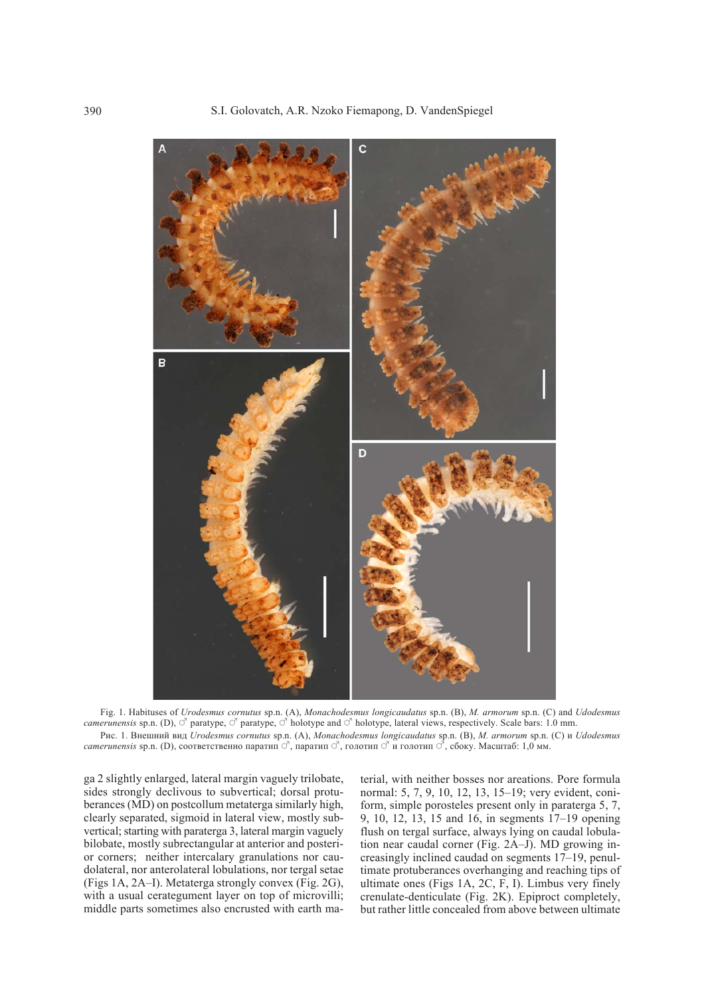

Fig. 1. Habituses of *Urodesmus cornutus* sp.n. (A), *Monachodesmus longicaudatus* sp.n. (B), *M. armorum* sp.n. (C) and *Udodesmus camerunensis* sp.n. (D),  $\circ$  paratype,  $\circ$  paratype,  $\circ$  holotype and  $\circ$  holotype, lateral views, respectively. Scale bars: 1.0 mm. Рис. 1. Внешний вид *Urodesmus cornutus* sp.n. (A), *Monachodesmus longicaudatus* sp.n. (B), *M. armorum* sp.n. (C) и *Udodesmus camerunensis* sp.n. (D), соответственно паратип ♂, паратип ♂, голотип ♂ и голотип ♂, сбоку. Масштаб: 1,0 мм.

ga 2 slightly enlarged, lateral margin vaguely trilobate, sides strongly declivous to subvertical; dorsal protuberances (MD) on postcollum metaterga similarly high, clearly separated, sigmoid in lateral view, mostly subvertical; starting with paraterga 3, lateral margin vaguely bilobate, mostly subrectangular at anterior and posterior corners; neither intercalary granulations nor caudolateral, nor anterolateral lobulations, nor tergal setae (Figs 1A, 2A–I). Metaterga strongly convex (Fig. 2G), with a usual cerategument layer on top of microvilli; middle parts sometimes also encrusted with earth ma-

terial, with neither bosses nor areations. Pore formula normal: 5, 7, 9, 10, 12, 13, 15–19; very evident, coniform, simple porosteles present only in paraterga 5, 7, 9, 10, 12, 13, 15 and 16, in segments 17–19 opening flush on tergal surface, always lying on caudal lobulation near caudal corner (Fig. 2A–J). MD growing increasingly inclined caudad on segments 17–19, penultimate protuberances overhanging and reaching tips of ultimate ones (Figs 1A, 2C, F, I). Limbus very finely crenulate-denticulate (Fig. 2K). Epiproct completely, but rather little concealed from above between ultimate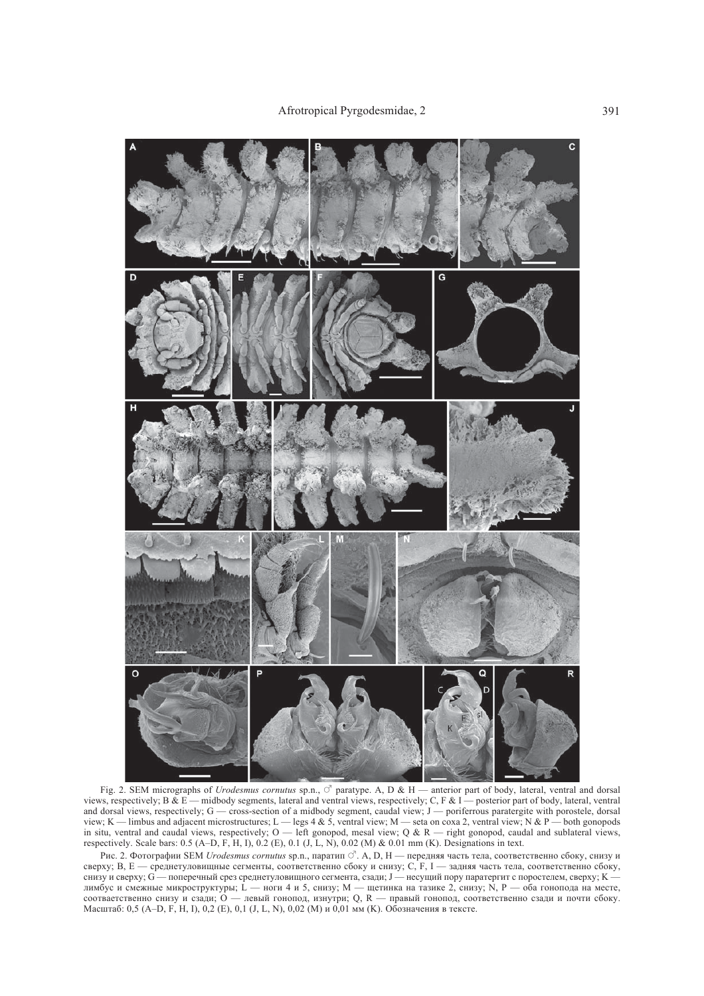

Fig. 2. SEM micrographs of *Urodesmus cornutus* sp.n.,  $\circ$  paratype. A, D & H — anterior part of body, lateral, ventral and dorsal views, respectively; B & E — midbody segments, lateral and ventral views, respectively; C, F & I — posterior part of body, lateral, ventral and dorsal views, respectively; G — cross-section of a midbody segment, caudal view; J — poriferrous paratergite with porostele, dorsal view; K — limbus and adjacent microstructures; L — legs 4 & 5, ventral view; M — seta on coxa 2, ventral view; N & P — both gonopods in situ, ventral and caudal views, respectively;  $O$  — left gonopod, mesal view;  $Q & R$  — right gonopod, caudal and sublateral views, respectively. Scale bars: 0.5 (A–D, F, H, I), 0.2 (E), 0.1 (J, L, N), 0.02 (M) & 0.01 mm (K). Designations in text.

Рис. 2. Фотографии SEM *Urodesmus cornutus* sp.n., паратип  $\vec{\circ}$ . A, D, H — передняя часть тела, соответственно сбоку, снизу и сверху; B, E — среднетуловищные сегменты, соответственно сбоку и снизу; C, F, I — задняя часть тела, соответственно сбоку, снизу и сверху; G — поперечный срез среднетуловищного сегмента, сзади; J — несущий пору паратергит с поростелем, сверху; K лимбус и смежные микроструктуры; L — ноги 4 и 5, снизу; M — щетинка на тазике 2, снизу; N, P — оба гонопода на месте, соотваетственно снизу и сзади; О — левый гонопод, изнутри; Q, R — правый гонопод, соответственно сзади и почти сбоку. Масштаб: 0,5 (A–D, F, H, I), 0,2 (E), 0,1 (J, L, N), 0,02 (M) и 0,01 мм (K). Обозначения в тексте.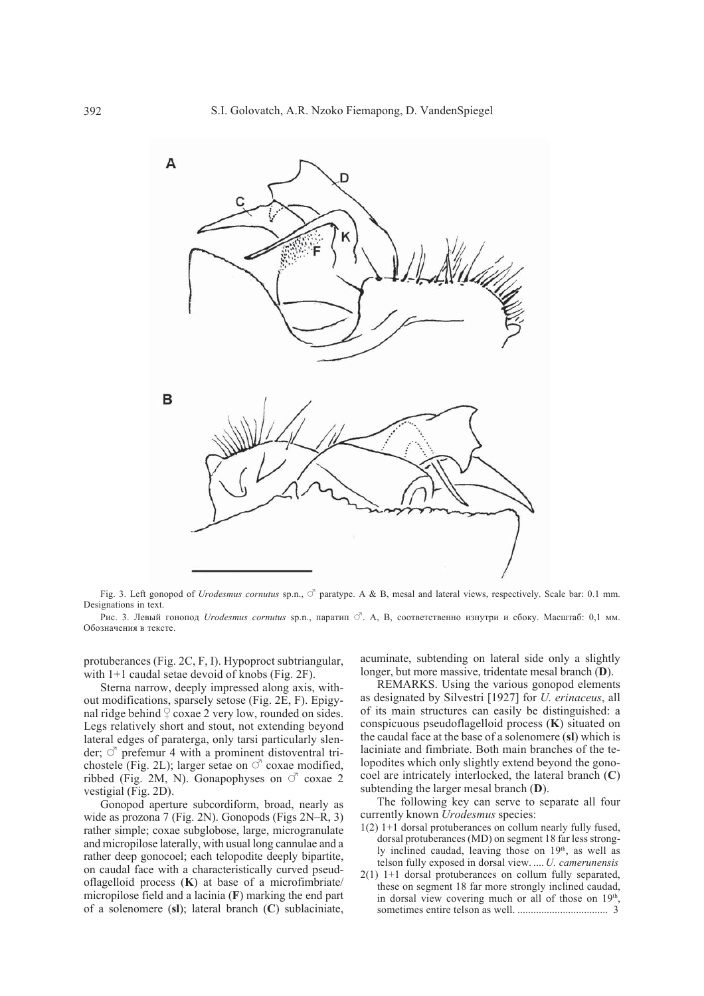

Fig. 3. Left gonopod of *Urodesmus cornutus* sp.n.,  $\circ$  paratype. A & B, mesal and lateral views, respectively. Scale bar: 0.1 mm. Designations in text.

Рис. 3. Левый гонопод *Urodesmus cornutus* sp.n., паратип  $\vec{\circ}$ . A, B, соответственно изнутри и сбоку. Масштаб: 0,1 мм. Обозначения в тексте.

protuberances (Fig. 2C, F, I). Hypoproct subtriangular, with 1+1 caudal setae devoid of knobs (Fig. 2F).

Sterna narrow, deeply impressed along axis, without modifications, sparsely setose (Fig. 2E, F). Epigynal ridge behind  $\frac{1}{2}$  coxae 2 very low, rounded on sides. Legs relatively short and stout, not extending beyond lateral edges of paraterga, only tarsi particularly slender;  $\circ$  prefemur 4 with a prominent distoventral trichostele (Fig. 2L); larger setae on  $\circlearrowleft$  coxae modified, ribbed (Fig. 2M, N). Gonapophyses on  $\circlearrowleft$  coxae 2 vestigial (Fig. 2D).

Gonopod aperture subcordiform, broad, nearly as wide as prozona 7 (Fig. 2N). Gonopods (Figs 2N–R, 3) rather simple; coxae subglobose, large, microgranulate and micropilose laterally, with usual long cannulae and a rather deep gonocoel; each telopodite deeply bipartite, on caudal face with a characteristically curved pseudoflagelloid process (**K**) at base of a microfimbriate/ micropilose field and a lacinia (**F**) marking the end part of a solenomere (**sl**); lateral branch (**C**) sublaciniate,

acuminate, subtending on lateral side only a slightly longer, but more massive, tridentate mesal branch (**D**).

REMARKS. Using the various gonopod elements as designated by Silvestri [1927] for *U. erinaceus*, all of its main structures can easily be distinguished: a conspicuous pseudoflagelloid process (**K**) situated on the caudal face at the base of a solenomere (**sl**) which is laciniate and fimbriate. Both main branches of the telopodites which only slightly extend beyond the gonocoel are intricately interlocked, the lateral branch (**C**) subtending the larger mesal branch (**D**).

The following key can serve to separate all four currently known *Urodesmus* species:

- 1(2) 1+1 dorsal protuberances on collum nearly fully fused, dorsal protuberances (MD) on segment 18 far less strongly inclined caudad, leaving those on 19<sup>th</sup>, as well as telson fully exposed in dorsal view. .... *U. camerunensis*
- 2(1) 1+1 dorsal protuberances on collum fully separated, these on segment 18 far more strongly inclined caudad, in dorsal view covering much or all of those on  $19<sup>th</sup>$ , sometimes entire telson as well. .................................. 3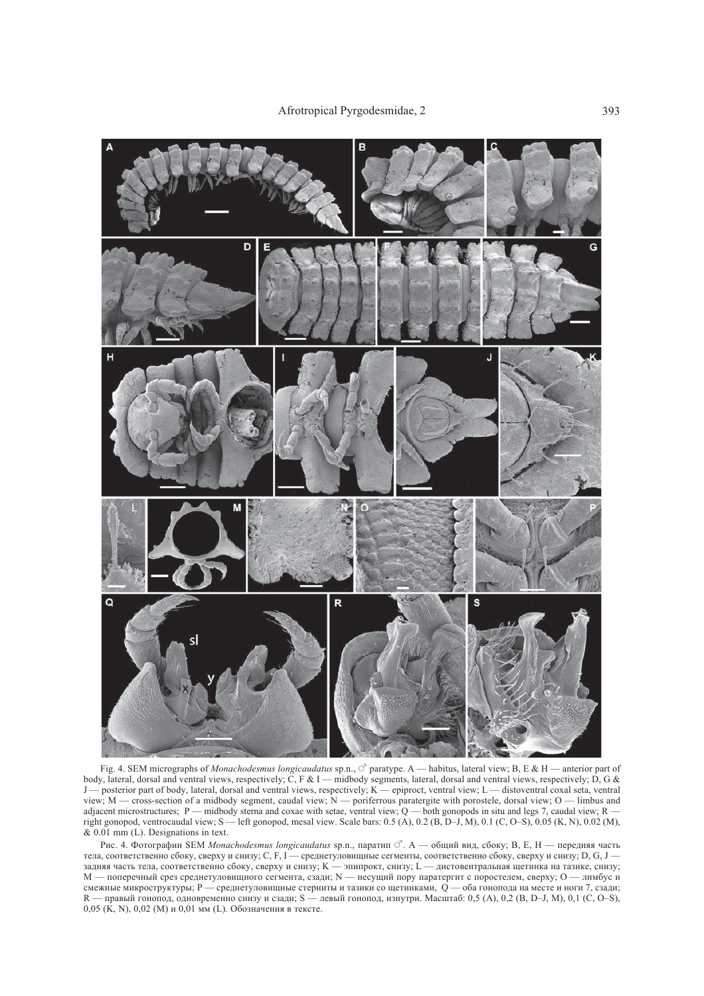

Fig. 4. SEM micrographs of *Monachodesmus longicaudatus* sp.n.,  $\circ$ <sup>7</sup> paratype. A — habitus, lateral view; B, E & H — anterior part of body, lateral, dorsal and ventral views, respectively; C, F & I — midbody segments, lateral, dorsal and ventral views, respectively; D, G & J — posterior part of body, lateral, dorsal and ventral views, respectively; K — epiproct, ventral view; L — distoventral coxal seta, ventral view; M — cross-section of a midbody segment, caudal view; N — poriferrous paratergite with porostele, dorsal view; O — limbus and adjacent microstructures;  $P$  — midbody sterna and coxae with setae, ventral view; Q — both gonopods in situ and legs 7, caudal view; R right gonopod, ventrocaudal view; S — left gonopod, mesal view. Scale bars: 0.5 (A), 0.2 (B, D–J, M), 0.1 (C, O–S), 0.05 (K, N), 0.02 (M),  $& 0.01$  mm (L). Designations in text.

Рис. 4. Фотографии SEM Monachodesmus longicaudatus sp.n., паратип <sup>3</sup>. А — общий вид, сбоку; В, Е, Н — передняя часть тела, соответственно сбоку, сверху и снизу; С, F, I — среднетуловищные сегменты, соответственно сбоку, сверху и снизу; D, G, J задняя часть тела, соответственно сбоку, сверху и снизу; K — эпипрокт, снизу; L — дистовентральная щетинка на тазике, снизу; M — поперечный срез среднетуловищного сегмента, сзади; N — несущий пору паратергит с поростелем, сверху; O — лимбус и смежные микроструктуры; P — среднетуловищные стерниты и тазики со щетинками, Q — оба гонопода на месте и ноги 7, сзади; R — правый гонопод, одновременно снизу и сзади; S — левый гонопод, изнутри. Масштаб: 0,5 (A), 0,2 (B, D–J, M), 0,1 (C, O–S), 0,05 (K, N), 0,02 (M) и 0,01 мм (L). Обозначения в тексте.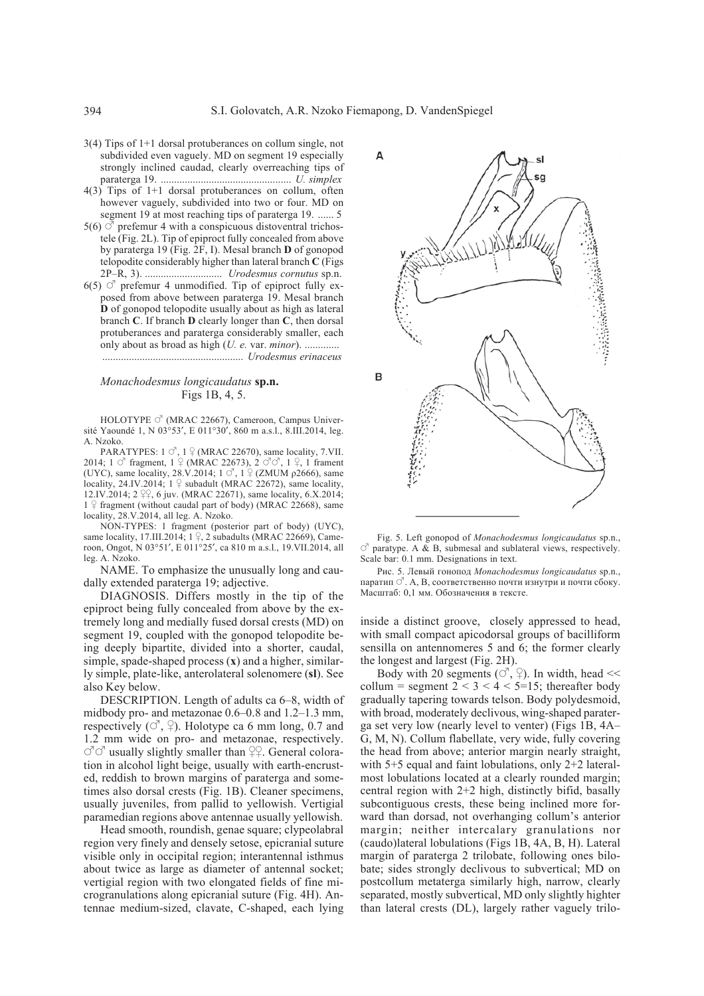- 3(4) Tips of 1+1 dorsal protuberances on collum single, not subdivided even vaguely. MD on segment 19 especially strongly inclined caudad, clearly overreaching tips of paraterga 19. ................................................. *U. simplex*
- 4(3) Tips of 1+1 dorsal protuberances on collum, often however vaguely, subdivided into two or four. MD on segment 19 at most reaching tips of paraterga 19. ...... 5
- 5(6)  $\vec{O}$  prefemur 4 with a conspicuous distoventral trichostele (Fig. 2L). Tip of epiproct fully concealed from above by paraterga 19 (Fig. 2F, I). Mesal branch **D** of gonopod telopodite considerably higher than lateral branch **C** (Figs 2P–R, 3). ............................. *Urodesmus cornutus* sp.n.
- 6(5)  $\circ$  prefemur 4 unmodified. Tip of epiproct fully exposed from above between paraterga 19. Mesal branch **D** of gonopod telopodite usually about as high as lateral branch **C**. If branch **D** clearly longer than **C**, then dorsal protuberances and paraterga considerably smaller, each only about as broad as high (*U. e.* var. *minor*). ............. ..................................................... *Urodesmus erinaceus*

#### *Monachodesmus longicaudatus* **sp.n.** Figs 1B, 4, 5.

HOLOTYPE  $\circlearrowleft$  (MRAC 22667), Cameroon, Campus Université Yaoundé 1, N 03°53′, E 011°30′, 860 m a.s.l., 8.III.2014, leg. A. Nzoko.

PARATYPES:  $1 \circ$ ,  $1 \circ$  (MRAC 22670), same locality, 7.VII. 2014;  $1 \circ$  fragment,  $1 \circ$  (MRAC 22673),  $2 \circ$   $\circ$   $\circ$ ,  $1 \circ$ , 1 frament (UYC), same locality, 28.V.2014;  $1 \circ$ ,  $1 \circ$  (ZMUM  $\rho$ 2666), same locality, 24.IV.2014;  $1 \nsubseteq$  subadult (MRAC 22672), same locality, 12.IV.2014;  $2 \, \frac{\mathcal{O}}{\mathcal{A}}$ , 6 juv. (MRAC 22671), same locality, 6.X.2014;  $1 \nsubseteq$  fragment (without caudal part of body) (MRAC 22668), same locality, 28.V.2014, all leg. A. Nzoko.

NON-TYPES: 1 fragment (posterior part of body) (UYC), same locality, 17.III.2014;  $1 \frac{9}{5}$ , 2 subadults (MRAC 22669), Cameroon, Ongot, N 03°51′, E 011°25′, ca 810 m a.s.l., 19.VII.2014, all leg. A. Nzoko.

NAME. To emphasize the unusually long and caudally extended paraterga 19; adjective.

DIAGNOSIS. Differs mostly in the tip of the epiproct being fully concealed from above by the extremely long and medially fused dorsal crests (MD) on segment 19, coupled with the gonopod telopodite being deeply bipartite, divided into a shorter, caudal, simple, spade-shaped process (**x**) and a higher, similarly simple, plate-like, anterolateral solenomere (**sl**). See also Key below.

DESCRIPTION. Length of adults ca 6–8, width of midbody pro- and metazonae 0.6–0.8 and 1.2–1.3 mm, respectively  $(\circ^{\prime}, \circ)$ . Holotype ca 6 mm long, 0.7 and 1.2 mm wide on pro- and metazonae, respectively.  $\circlearrowleft \circlearrowleft$  usually slightly smaller than  $\circlearrowright$ ?. General coloration in alcohol light beige, usually with earth-encrusted, reddish to brown margins of paraterga and sometimes also dorsal crests (Fig. 1B). Cleaner specimens, usually juveniles, from pallid to yellowish. Vertigial paramedian regions above antennae usually yellowish.

Head smooth, roundish, genae square; clypeolabral region very finely and densely setose, epicranial suture visible only in occipital region; interantennal isthmus about twice as large as diameter of antennal socket; vertigial region with two elongated fields of fine microgranulations along epicranial suture (Fig. 4H). Antennae medium-sized, clavate, C-shaped, each lying



Fig. 5. Left gonopod of *Monachodesmus longicaudatus* sp.n.,  $\circ$  paratype. A & B, submesal and sublateral views, respectively. Scale bar: 0.1 mm. Designations in text.

Рис. 5. Левый гонопод *Monachodesmus longicaudatus* sp.n., паратип $\circlearrowleft$ . А, В, соответственно почти изнутри и почти сбоку. Масштаб: 0,1 мм. Обозначения в тексте.

inside a distinct groove, closely appressed to head, with small compact apicodorsal groups of bacilliform sensilla on antennomeres 5 and 6; the former clearly the longest and largest (Fig. 2H).

Body with 20 segments ( $\circlearrowleft$ ,  $\circledcirc$ ). In width, head << collum = segment  $2 < 3 < 4 < 5 = 15$ ; thereafter body gradually tapering towards telson. Body polydesmoid, with broad, moderately declivous, wing-shaped paraterga set very low (nearly level to venter) (Figs 1B, 4A– G, M, N). Collum flabellate, very wide, fully covering the head from above; anterior margin nearly straight, with 5+5 equal and faint lobulations, only 2+2 lateralmost lobulations located at a clearly rounded margin; central region with 2+2 high, distinctly bifid, basally subcontiguous crests, these being inclined more forward than dorsad, not overhanging collum's anterior margin; neither intercalary granulations nor (caudo)lateral lobulations (Figs 1B, 4A, B, H). Lateral margin of paraterga 2 trilobate, following ones bilobate; sides strongly declivous to subvertical; MD on postcollum metaterga similarly high, narrow, clearly separated, mostly subvertical, MD only slightly highter than lateral crests (DL), largely rather vaguely trilo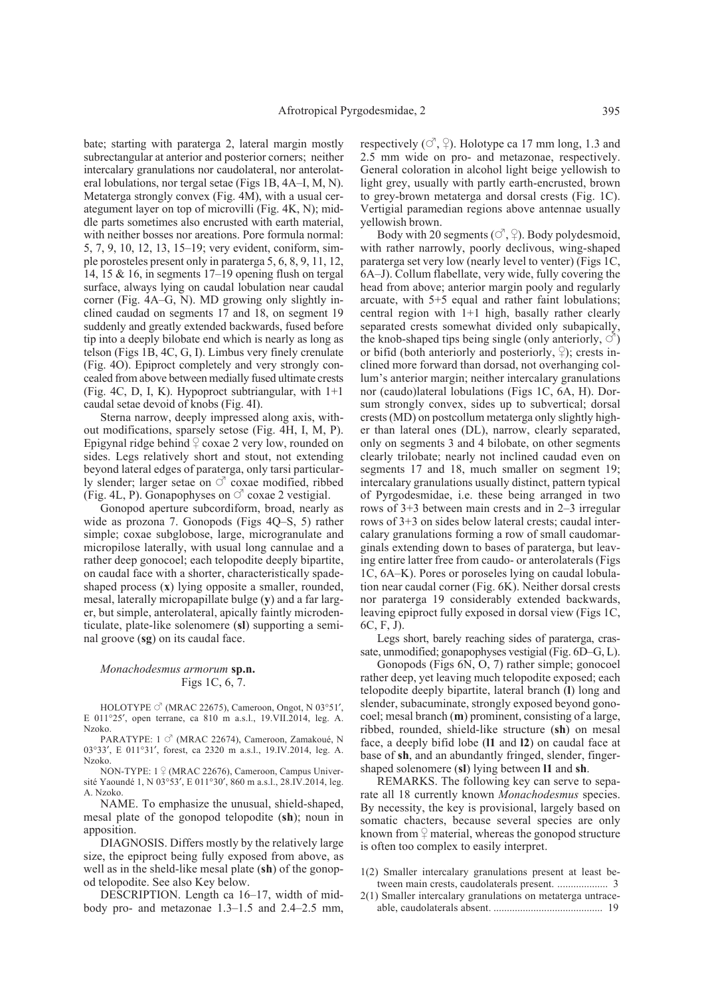bate; starting with paraterga 2, lateral margin mostly subrectangular at anterior and posterior corners; neither intercalary granulations nor caudolateral, nor anterolateral lobulations, nor tergal setae (Figs 1B, 4A–I, M, N). Metaterga strongly convex (Fig. 4M), with a usual cerategument layer on top of microvilli (Fig. 4K, N); middle parts sometimes also encrusted with earth material, with neither bosses nor areations. Pore formula normal: 5, 7, 9, 10, 12, 13, 15–19; very evident, coniform, simple porosteles present only in paraterga 5, 6, 8, 9, 11, 12, 14, 15 & 16, in segments 17–19 opening flush on tergal surface, always lying on caudal lobulation near caudal corner (Fig. 4A–G, N). MD growing only slightly inclined caudad on segments 17 and 18, on segment 19 suddenly and greatly extended backwards, fused before tip into a deeply bilobate end which is nearly as long as telson (Figs 1B, 4C, G, I). Limbus very finely crenulate (Fig. 4O). Epiproct completely and very strongly concealed from above between medially fused ultimate crests (Fig. 4C, D, I, K). Hypoproct subtriangular, with 1+1 caudal setae devoid of knobs (Fig. 4I).

Sterna narrow, deeply impressed along axis, without modifications, sparsely setose (Fig. 4H, I, M, P). Epigynal ridge behind  $\frac{1}{2}$  coxae 2 very low, rounded on sides. Legs relatively short and stout, not extending beyond lateral edges of paraterga, only tarsi particularly slender; larger setae on  $\circlearrowleft$  coxae modified, ribbed (Fig. 4L, P). Gonapophyses on  $\circlearrowleft$  coxae 2 vestigial.

Gonopod aperture subcordiform, broad, nearly as wide as prozona 7. Gonopods (Figs 4Q–S, 5) rather simple; coxae subglobose, large, microgranulate and micropilose laterally, with usual long cannulae and a rather deep gonocoel; each telopodite deeply bipartite, on caudal face with a shorter, characteristically spadeshaped process (**x**) lying opposite a smaller, rounded, mesal, laterally micropapillate bulge (**y**) and a far larger, but simple, anterolateral, apically faintly microdenticulate, plate-like solenomere (**sl**) supporting a seminal groove (**sg**) on its caudal face.

#### *Monachodesmus armorum* **sp.n.** Figs 1C, 6, 7.

HOLOTYPE  $\circ$ <sup>7</sup> (MRAC 22675), Cameroon, Ongot, N 03°51', E 011°25′, open terrane, ca 810 m a.s.l., 19.VII.2014, leg. A. Nzoko.

PARATYPE: 1  $\circ$ <sup>7</sup> (MRAC 22674), Cameroon, Zamakoué, N 03°33′, E 011°31′, forest, ca 2320 m a.s.l., 19.IV.2014, leg. A. Nzoko.

NON-TYPE:  $1 \nsubseteq (MRAC 22676)$ , Cameroon, Campus Université Yaoundé 1, N 03°53′, E 011°30′, 860 m a.s.l., 28.IV.2014, leg. A. Nzoko.

NAME. To emphasize the unusual, shield-shaped, mesal plate of the gonopod telopodite (**sh**); noun in apposition.

DIAGNOSIS. Differs mostly by the relatively large size, the epiproct being fully exposed from above, as well as in the sheld-like mesal plate (**sh**) of the gonopod telopodite. See also Key below.

DESCRIPTION. Length ca 16–17, width of midbody pro- and metazonae 1.3–1.5 and 2.4–2.5 mm, respectively  $(\vec{O}, \vec{P})$ . Holotype ca 17 mm long, 1.3 and 2.5 mm wide on pro- and metazonae, respectively. General coloration in alcohol light beige yellowish to light grey, usually with partly earth-encrusted, brown to grey-brown metaterga and dorsal crests (Fig. 1C). Vertigial paramedian regions above antennae usually yellowish brown.

Body with 20 segments ( $\circlearrowleft$ ,  $\circledcirc$ ). Body polydesmoid, with rather narrowly, poorly declivous, wing-shaped paraterga set very low (nearly level to venter) (Figs 1C, 6A–J). Collum flabellate, very wide, fully covering the head from above; anterior margin pooly and regularly arcuate, with 5+5 equal and rather faint lobulations; central region with 1+1 high, basally rather clearly separated crests somewhat divided only subapically, the knob-shaped tips being single (only anteriorly,  $\circ$ ) or bifid (both anteriorly and posteriorly,  $\varphi$ ); crests inclined more forward than dorsad, not overhanging collum's anterior margin; neither intercalary granulations nor (caudo)lateral lobulations (Figs 1C, 6A, H). Dorsum strongly convex, sides up to subvertical; dorsal crests (MD) on postcollum metaterga only slightly higher than lateral ones (DL), narrow, clearly separated, only on segments 3 and 4 bilobate, on other segments clearly trilobate; nearly not inclined caudad even on segments 17 and 18, much smaller on segment 19; intercalary granulations usually distinct, pattern typical of Pyrgodesmidae, i.e. these being arranged in two rows of 3+3 between main crests and in 2–3 irregular rows of 3+3 on sides below lateral crests; caudal intercalary granulations forming a row of small caudomarginals extending down to bases of paraterga, but leaving entire latter free from caudo- or anterolaterals (Figs 1C, 6A–K). Pores or poroseles lying on caudal lobulation near caudal corner (Fig. 6K). Neither dorsal crests nor paraterga 19 considerably extended backwards, leaving epiproct fully exposed in dorsal view (Figs 1C, 6C, F, J).

Legs short, barely reaching sides of paraterga, crassate, unmodified; gonapophyses vestigial (Fig. 6D–G, L).

Gonopods (Figs 6N, O, 7) rather simple; gonocoel rather deep, yet leaving much telopodite exposed; each telopodite deeply bipartite, lateral branch (**l**) long and slender, subacuminate, strongly exposed beyond gonocoel; mesal branch (**m**) prominent, consisting of a large, ribbed, rounded, shield-like structure (**sh**) on mesal face, a deeply bifid lobe (**l1** and **l2**) on caudal face at base of **sh**, and an abundantly fringed, slender, fingershaped solenomere (**sl**) lying between **l1** and **sh**.

REMARKS. The following key can serve to separate all 18 currently known *Monachodesmus* species. By necessity, the key is provisional, largely based on somatic chacters, because several species are only known from  $\frac{1}{4}$  material, whereas the gonopod structure is often too complex to easily interpret.

- 1(2) Smaller intercalary granulations present at least between main crests, caudolaterals present. ................... 3
- 2(1) Smaller intercalary granulations on metaterga untraceable, caudolaterals absent. ......................................... 19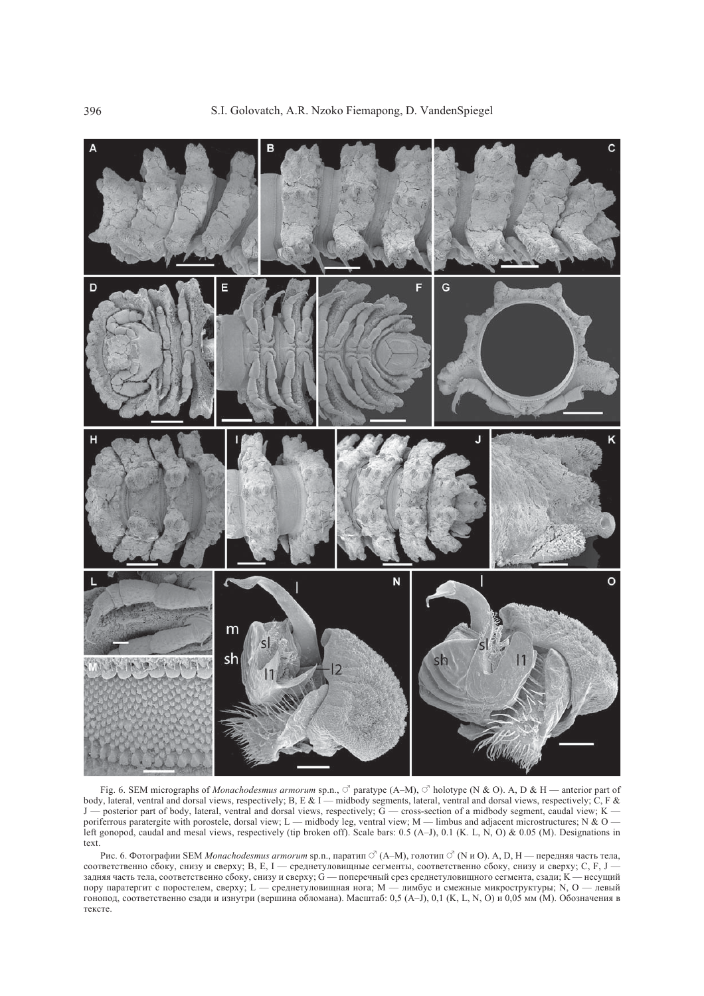

Fig. 6. SEM micrographs of *Monachodesmus armorum* sp.n.,  $\circ$  paratype (A–M),  $\circ$  holotype (N & O). A, D & H — anterior part of body, lateral, ventral and dorsal views, respectively; B, E & I — midbody segments, lateral, ventral and dorsal views, respectively; C, F & J — posterior part of body, lateral, ventral and dorsal views, respectively; G — cross-section of a midbody segment, caudal view; K poriferrous paratergite with porostele, dorsal view; L — midbody leg, ventral view; M — limbus and adjacent microstructures; N & O left gonopod, caudal and mesal views, respectively (tip broken off). Scale bars: 0.5 (A–J), 0.1 (K. L, N, O) & 0.05 (M). Designations in text.

Рис. 6. Фотографии SEM *Monachodesmus armorum* sp.n., паратип  $\circ$  (A–M), голотип  $\circ$  (N и O). A, D, H — передняя часть тела, соответственно сбоку, снизу и сверху; B, E, I — среднетуловищные сегменты, соответственно сбоку, снизу и сверху; C, F, J задняя часть тела, соответственно сбоку, снизу и сверху; G — поперечный срез среднетуловищного сегмента, сзади; K — несущий пору паратергит с поростелем, сверху; L — среднетуловищная нога; M — лимбус и смежные микроструктуры; N, O — левый гонопод, соответственно сзади и изнутри (вершина обломaна). Масштаб: 0,5 (A–J), 0,1 (K, L, N, O) и 0,05 мм (M). Обозначения в тексте.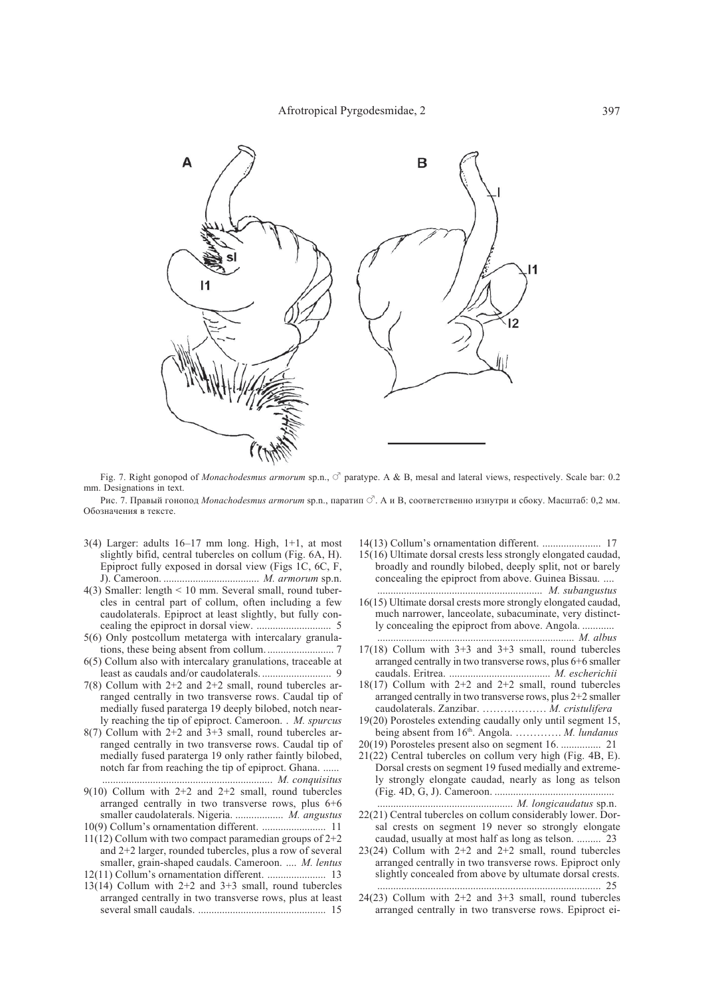

Fig. 7. Right gonopod of *Monachodesmus armorum* sp.n.,  $\circ$  paratype. A & B, mesal and lateral views, respectively. Scale bar: 0.2 mm. Designations in text.

Рис. 7. Правый гонопод Monachodesmus armorum sp.n., паратип  $\vec{\heartsuit}$ . А и В, соответственно изнутри и сбоку. Масштаб: 0,2 мм. Обозначения в тексте.

- $3(4)$  Larger: adults  $16-17$  mm long. High,  $1+1$ , at most slightly bifid, central tubercles on collum (Fig. 6A, H). Epiproct fully exposed in dorsal view (Figs 1C, 6C, F, J). Cameroon. .................................... *M. armorum* sp.n.
- 4(3) Smaller: length < 10 mm. Several small, round tubercles in central part of collum, often including a few caudolaterals. Epiproct at least slightly, but fully concealing the epiproct in dorsal view. ............................ 5
- 5(6) Only postcollum metaterga with intercalary granulations, these being absent from collum.......................... 7
- 6(5) Collum also with intercalary granulations, traceable at least as caudals and/or caudolaterals. .......................... 9
- 7(8) Collum with 2+2 and 2+2 small, round tubercles arranged centrally in two transverse rows. Caudal tip of medially fused paraterga 19 deeply bilobed, notch nearly reaching the tip of epiproct. Cameroon. . *M. spurcus*
- 8(7) Collum with 2+2 and 3+3 small, round tubercles arranged centrally in two transverse rows. Caudal tip of medially fused paraterga 19 only rather faintly bilobed, notch far from reaching the tip of epiproct. Ghana. ......
- ................................................................ *M. conquisitus*  $9(10)$  Collum with  $2+2$  and  $2+2$  small, round tubercles arranged centrally in two transverse rows, plus 6+6 smaller caudolaterals. Nigeria. .................. *M. angustus*

10(9) Collum's ornamentation different. ........................ 11

- 11(12) Collum with two compact paramedian groups of  $2+2$ and 2+2 larger, rounded tubercles, plus a row of several smaller, grain-shaped caudals. Cameroon. .... *M. lentus*
- 12(11) Collum's ornamentation different. ...................... 13
- $13(14)$  Collum with  $2+2$  and  $3+3$  small, round tubercles arranged centrally in two transverse rows, plus at least several small caudals. ................................................ 15
- 14(13) Collum's ornamentation different. ...................... 17
- 15(16) Ultimate dorsal crests less strongly elongated caudad, broadly and roundly bilobed, deeply split, not or barely concealing the epiproct from above. Guinea Bissau. .... .............................................................. *M. subangustus*
- 16(15) Ultimate dorsal crests more strongly elongated caudad, much narrower, lanceolate, subacuminate, very distinctly concealing the epiproct from above. Angola. ............
- .......................................................................... *M. albus* 17(18) Collum with 3+3 and 3+3 small, round tubercles arranged centrally in two transverse rows, plus 6+6 smaller caudals. Eritrea. ...................................... *M. escherichii*
- 18(17) Collum with 2+2 and 2+2 small, round tubercles arranged centrally in two transverse rows, plus 2+2 smaller caudolaterals. Zanzibar. ……………… *M. cristulifera*
- 19(20) Porosteles extending caudally only until segment 15, being absent from 16th. Angola. …………. *M. lundanus*
- 20(19) Porosteles present also on segment 16. ............... 21
- 21(22) Central tubercles on collum very high (Fig. 4B, E). Dorsal crests on segment 19 fused medially and extremely strongly elongate caudad, nearly as long as telson (Fig. 4D, G, J). Cameroon. .............................................
- ................................................... *M. longicaudatus* sp.n. 22(21) Central tubercles on collum considerably lower. Dorsal crests on segment 19 never so strongly elongate caudad, usually at most half as long as telson. ......... 23
- $23(24)$  Collum with  $2+2$  and  $2+2$  small, round tubercles arranged centrally in two transverse rows. Epiproct only slightly concealed from above by ultumate dorsal crests. .................................................................................... 25
- 24(23) Collum with 2+2 and 3+3 small, round tubercles arranged centrally in two transverse rows. Epiproct ei-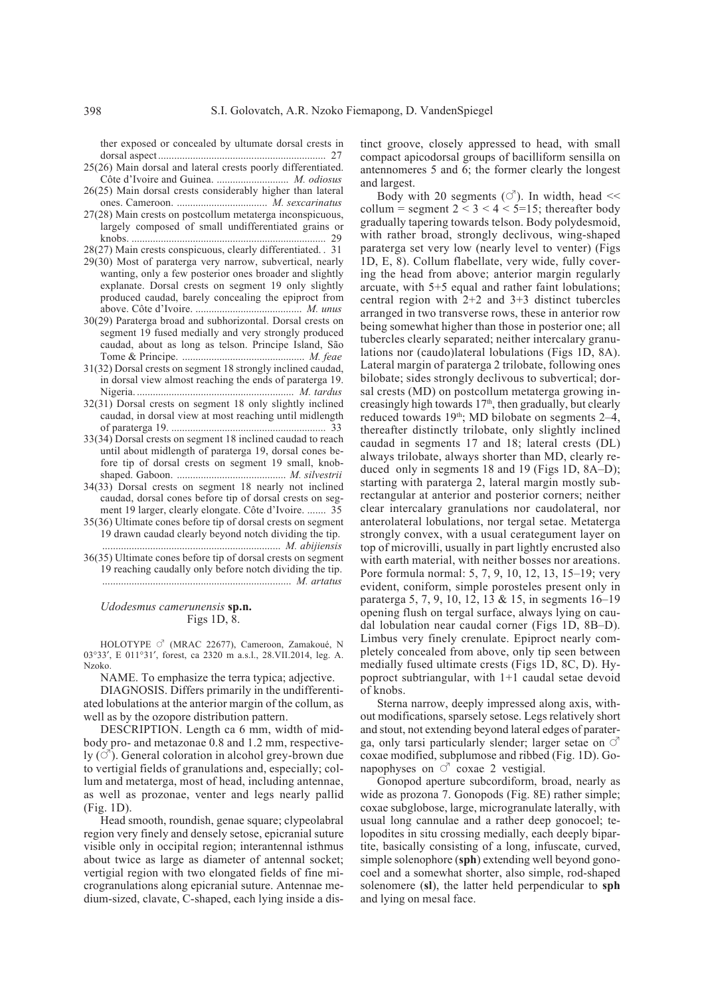ther exposed or concealed by ultumate dorsal crests in dorsal aspect............................................................... 27

- 25(26) Main dorsal and lateral crests poorly differentiated. Côte d'Ivoire and Guinea. ........................... *M. odiosus*
- 26(25) Main dorsal crests considerably higher than lateral ones. Cameroon. .................................. *M. sexcarinatus*
- 27(28) Main crests on postcollum metaterga inconspicuous, largely composed of small undifferentiated grains or knobs. ......................................................................... 29

28(27) Main crests conspicuous, clearly differentiated. . 31

- 29(30) Most of paraterga very narrow, subvertical, nearly wanting, only a few posterior ones broader and slightly explanate. Dorsal crests on segment 19 only slightly produced caudad, barely concealing the epiproct from above. Côte d'Ivoire. ........................................ *M. unus* 30(29) Paraterga broad and subhorizontal. Dorsal crests on
- segment 19 fused medially and very strongly produced caudad, about as long as telson. Principe Island, São Tome & Principe. .............................................. *M. feae*
- 31(32) Dorsal crests on segment 18 strongly inclined caudad, in dorsal view almost reaching the ends of paraterga 19. Nigeria. ........................................................... *M. tardus*
- 32(31) Dorsal crests on segment 18 only slightly inclined caudad, in dorsal view at most reaching until midlength of paraterga 19. .......................................................... 33
- 33(34) Dorsal crests on segment 18 inclined caudad to reach until about midlength of paraterga 19, dorsal cones before tip of dorsal crests on segment 19 small, knobshaped. Gaboon. ......................................... *M. silvestrii*
- 34(33) Dorsal crests on segment 18 nearly not inclined caudad, dorsal cones before tip of dorsal crests on segment 19 larger, clearly elongate. Côte d'Ivoire. ....... 35
- 35(36) Ultimate cones before tip of dorsal crests on segment 19 drawn caudad clearly beyond notch dividing the tip. ................................................................... *M. abijiensis*
- 36(35) Ultimate cones before tip of dorsal crests on segment 19 reaching caudally only before notch dividing the tip. ....................................................................... *M. artatus*

#### *Udodesmus camerunensis* **sp.n.** Figs 1D, 8.

HOLOTYPE  $\circ$  (MRAC 22677), Cameroon, Zamakoué, N 03°33′, E 011°31′, forest, ca 2320 m a.s.l., 28.VII.2014, leg. A. Nzoko.

NAME. To emphasize the terra typica; adjective.

DIAGNOSIS. Differs primarily in the undifferentiated lobulations at the anterior margin of the collum, as well as by the ozopore distribution pattern.

DESCRIPTION. Length ca 6 mm, width of midbody pro- and metazonae 0.8 and 1.2 mm, respectively  $(\circ)$ . General coloration in alcohol grey-brown due to vertigial fields of granulations and, especially; collum and metaterga, most of head, including antennae, as well as prozonae, venter and legs nearly pallid (Fig. 1D).

Head smooth, roundish, genae square; clypeolabral region very finely and densely setose, epicranial suture visible only in occipital region; interantennal isthmus about twice as large as diameter of antennal socket; vertigial region with two elongated fields of fine microgranulations along epicranial suture. Antennae medium-sized, clavate, C-shaped, each lying inside a distinct groove, closely appressed to head, with small compact apicodorsal groups of bacilliform sensilla on antennomeres 5 and 6; the former clearly the longest and largest.

Body with 20 segments  $(\vec{C})$ . In width, head  $\ll$ collum = segment  $2 < 3 < 4 < 5 = 15$ ; thereafter body gradually tapering towards telson. Body polydesmoid, with rather broad, strongly declivous, wing-shaped paraterga set very low (nearly level to venter) (Figs 1D, E, 8). Collum flabellate, very wide, fully covering the head from above; anterior margin regularly arcuate, with 5+5 equal and rather faint lobulations; central region with 2+2 and 3+3 distinct tubercles arranged in two transverse rows, these in anterior row being somewhat higher than those in posterior one; all tubercles clearly separated; neither intercalary granulations nor (caudo)lateral lobulations (Figs 1D, 8A). Lateral margin of paraterga 2 trilobate, following ones bilobate; sides strongly declivous to subvertical; dorsal crests (MD) on postcollum metaterga growing increasingly high towards  $17<sup>th</sup>$ , then gradually, but clearly reduced towards  $19<sup>th</sup>$ ; MD bilobate on segments 2–4, thereafter distinctly trilobate, only slightly inclined caudad in segments 17 and 18; lateral crests (DL) always trilobate, always shorter than MD, clearly reduced only in segments 18 and 19 (Figs 1D, 8A–D); starting with paraterga 2, lateral margin mostly subrectangular at anterior and posterior corners; neither clear intercalary granulations nor caudolateral, nor anterolateral lobulations, nor tergal setae. Metaterga strongly convex, with a usual cerategument layer on top of microvilli, usually in part lightly encrusted also with earth material, with neither bosses nor areations. Pore formula normal: 5, 7, 9, 10, 12, 13, 15–19; very evident, coniform, simple porosteles present only in paraterga 5, 7, 9, 10, 12, 13 & 15, in segments 16–19 opening flush on tergal surface, always lying on caudal lobulation near caudal corner (Figs 1D, 8B–D). Limbus very finely crenulate. Epiproct nearly completely concealed from above, only tip seen between medially fused ultimate crests (Figs 1D, 8C, D). Hypoproct subtriangular, with 1+1 caudal setae devoid of knobs.

Sterna narrow, deeply impressed along axis, without modifications, sparsely setose. Legs relatively short and stout, not extending beyond lateral edges of paraterga, only tarsi particularly slender; larger setae on  $\circlearrowleft$ coxae modified, subplumose and ribbed (Fig. 1D). Gonapophyses on  $\circlearrowleft$  coxae 2 vestigial.

Gonopod aperture subcordiform, broad, nearly as wide as prozona 7. Gonopods (Fig. 8E) rather simple; coxae subglobose, large, microgranulate laterally, with usual long cannulae and a rather deep gonocoel; telopodites in situ crossing medially, each deeply bipartite, basically consisting of a long, infuscate, curved, simple solenophore (**sph**) extending well beyond gonocoel and a somewhat shorter, also simple, rod-shaped solenomere (**sl**), the latter held perpendicular to **sph** and lying on mesal face.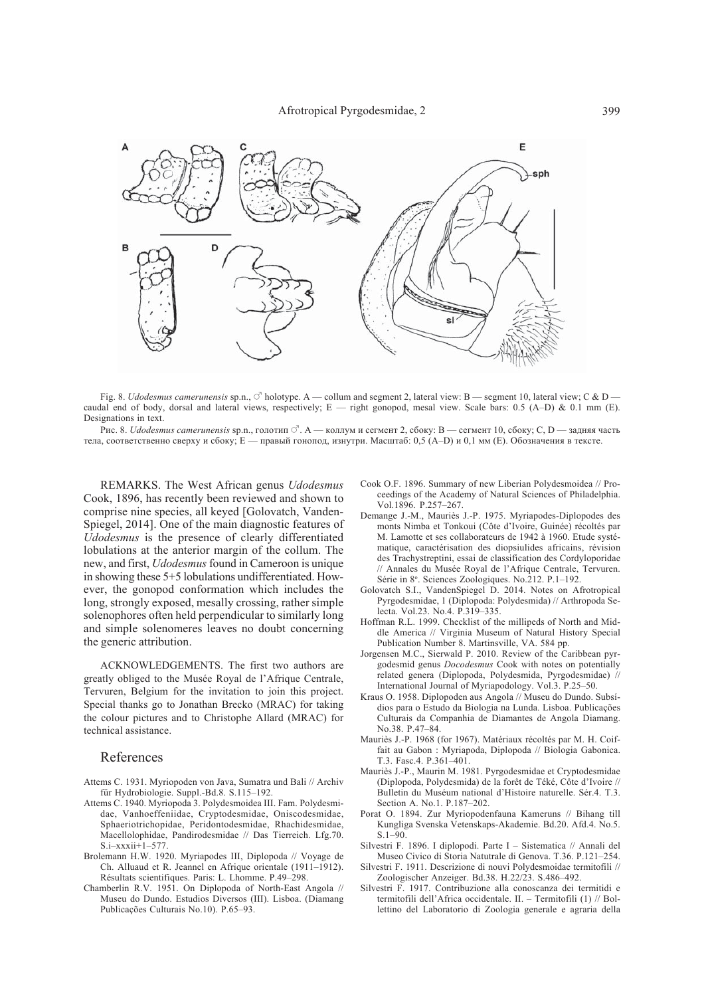

Fig. 8. *Udodesmus camerunensis* sp.n.,  $\circ$  holotype. A — collum and segment 2, lateral view: B — segment 10, lateral view; C & D caudal end of body, dorsal and lateral views, respectively; E — right gonopod, mesal view. Scale bars: 0.5 (A–D) & 0.1 mm (E). Designations in text.

Рис. 8. *Udodesmus camerunensis* sp.n., голотип  $\vec{C}$ . А — коллум и сегмент 2, сбоку: В — сегмент 10, сбоку; С, D — задняя часть тела, соответственно сверху и сбоку; E — правый гонопод, изнутри. Масштаб: 0,5 (A–D) и 0,1 мм (E). Обозначения в тексте.

REMARKS. The West African genus *Udodesmus* Cook, 1896, has recently been reviewed and shown to comprise nine species, all keyed [Golovatch, Vanden-Spiegel, 2014]. One of the main diagnostic features of *Udodesmus* is the presence of clearly differentiated lobulations at the anterior margin of the collum. The new, and first, *Udodesmus* found in Cameroon is unique in showing these 5+5 lobulations undifferentiated. However, the gonopod conformation which includes the long, strongly exposed, mesally crossing, rather simple solenophores often held perpendicular to similarly long and simple solenomeres leaves no doubt concerning the generic attribution.

ACKNOWLEDGEMENTS. The first two authors are greatly obliged to the Musée Royal de l'Afrique Centrale, Tervuren, Belgium for the invitation to join this project. Special thanks go to Jonathan Brecko (MRAC) for taking the colour pictures and to Christophe Allard (MRAC) for technical assistance.

## References

- Attems C. 1931. Myriopoden von Java, Sumatra und Bali // Archiv für Hydrobiologie. Suppl.-Bd.8. S.115–192.
- Attems C. 1940. Myriopoda 3. Polydesmoidea III. Fam. Polydesmidae, Vanhoeffeniidae, Cryptodesmidae, Oniscodesmidae, Sphaeriotrichopidae, Peridontodesmidae, Rhachidesmidae, Macellolophidae, Pandirodesmidae // Das Tierreich. Lfg.70. S.i–xxxii+1–577.
- Brolemann H.W. 1920. Myriapodes III, Diplopoda // Voyage de Ch. Alluaud et R. Jeannel en Afrique orientale (1911–1912). Résultats scientifiques. Paris: L. Lhomme. P.49–298.
- Chamberlin R.V. 1951. On Diplopoda of North-East Angola // Museu do Dundo. Estudios Diversos (III). Lisboa. (Diamang Publicações Culturais No.10). P.65–93.
- Cook O.F. 1896. Summary of new Liberian Polydesmoidea // Proceedings of the Academy of Natural Sciences of Philadelphia. Vol.1896. P.257–267.
- Demange J.-M., Mauriès J.-P. 1975. Myriapodes-Diplopodes des monts Nimba et Tonkoui (Côte d'Ivoire, Guinée) récoltés par M. Lamotte et ses collaborateurs de 1942 à 1960. Etude systématique, caractérisation des diopsiulides africains, révision des Trachystreptini, essai de classification des Cordyloporidae // Annales du Musée Royal de l'Afrique Centrale, Tervuren. Série in 8°. Sciences Zoologiques. No.212. P.1-192.
- Golovatch S.I., VandenSpiegel D. 2014. Notes on Afrotropical Pyrgodesmidae, 1 (Diplopoda: Polydesmida) // Arthropoda Selecta. Vol.23. No.4. P.319–335.
- Hoffman R.L. 1999. Checklist of the millipeds of North and Middle America // Virginia Museum of Natural History Special Publication Number 8. Martinsville, VA. 584 pp.
- Jorgensen M.C., Sierwald P. 2010. Review of the Caribbean pyrgodesmid genus *Docodesmus* Cook with notes on potentially related genera (Diplopoda, Polydesmida, Pyrgodesmidae) // International Journal of Myriapodology. Vol.3. P.25–50.
- Kraus O. 1958. Diplopoden aus Angola // Museu do Dundo. Subsídios para o Estudo da Biologia na Lunda. Lisboa. Publicações Culturais da Companhia de Diamantes de Angola Diamang. No.38. P.47–84.
- Mauriès J.-P. 1968 (for 1967). Matériaux récoltés par M. H. Coiffait au Gabon : Myriapoda, Diplopoda // Biologia Gabonica. T.3. Fasc.4. P.361–401.
- Mauriès J.-P., Maurin M. 1981. Pyrgodesmidae et Cryptodesmidae (Diplopoda, Polydesmida) de la forêt de Téké, Côte d'Ivoire // Bulletin du Muséum national d'Histoire naturelle. Sér.4. T.3. Section A. No.1. P.187–202.
- Porat O. 1894. Zur Myriopodenfauna Kameruns // Bihang till Kungliga Svenska Vetenskaps-Akademie. Bd.20. Afd.4. No.5. S.1–90.
- Silvestri F. 1896. I diplopodi. Parte I Sistematica // Annali del Museo Civico di Storia Natutrale di Genova. T.36. P.121–254.
- Silvestri F. 1911. Descrizione di nouvi Polydesmoidae termitofili // Zoologischer Anzeiger. Bd.38. H.22/23. S.486–492.
- Silvestri F. 1917. Contribuzione alla conoscanza dei termitidi e termitofili dell'Africa occidentale. II. – Termitofili (1) // Bollettino del Laboratorio di Zoologia generale e agraria della